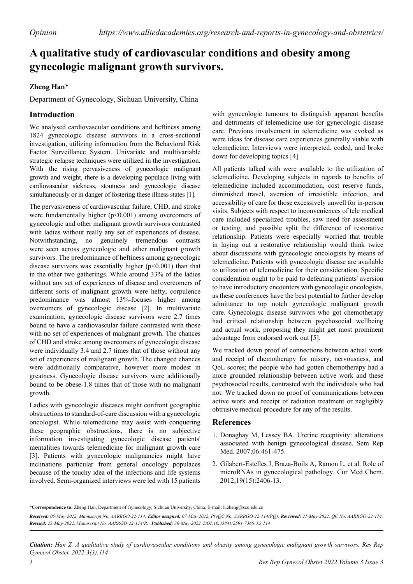## **A qualitative study of cardiovascular conditions and obesity among gynecologic malignant growth survivors.**

## **Zheng Han\***

Department of Gynecology, Sichuan University, China

## **Introduction**

We analysed cardiovascular conditions and heftiness among 1824 gynecologic disease survivors in a cross-sectional investigation, utilizing information from the Behavioral Risk Factor Surveillance System. Univariate and multivariable strategic relapse techniques were utilized in the investigation. With the rising pervasiveness of gynecologic malignant growth and weight, there is a developing populace living with cardiovascular sickness, stoutness and gynecologic disease simultaneously or in danger of fostering these illness states [1].

The pervasiveness of cardiovascular failure, CHD, and stroke were fundamentally higher (p<0.001) among overcomers of gynecologic and other malignant growth survivors contrasted with ladies without really any set of experiences of disease. Notwithstanding, no genuinely tremendous contrasts were seen across gynecologic and other malignant growth survivors. The predominance of heftiness among gynecologic disease survivors was essentially higher (p<0.001) than that in the other two gatherings. While around 33% of the ladies without any set of experiences of disease and overcomers of different sorts of malignant growth were hefty, corpulence predominance was almost 13%-focuses higher among overcomers of gynecologic disease [2]. In multivariate examination, gynecologic disease survivors were 2.7 times bound to have a cardiovascular failure contrasted with those with no set of experiences of malignant growth. The chances of CHD and stroke among overcomers of gynecologic disease were individually 3.4 and 2.7 times that of those without any set of experiences of malignant growth. The changed chances were additionally comparative, however more modest in greatness. Gynecologic disease survivors were additionally bound to be obese-1.8 times that of those with no malignant growth.

Ladies with gynecologic diseases might confront geographic obstructions to standard-of-care discussion with a gynecologic oncologist. While telemedicine may assist with conquering these geographic obstructions, there is no subjective information investigating gynecologic disease patients' mentalities towards telemedicine for malignant growth care [3]. Patients with gynecologic malignancies might have inclinations particular from general oncology populaces because of the touchy idea of the infections and life systems involved. Semi-organized interviews were led with 15 patients with gynecologic tumours to distinguish apparent benefits and detriments of telemedicine use for gynecologic disease care. Previous involvement in telemedicine was evoked as were ideas for disease care experiences generally viable with telemedicine. Interviews were interpreted, coded, and broke down for developing topics [4].

All patients talked with were available to the utilization of telemedicine. Developing subjects in regards to benefits of telemedicine included accommodation, cost reserve funds, diminished travel, aversion of irresistible infection, and accessibility of care for those excessively unwell for in-person visits. Subjects with respect to inconveniences of tele medical care included specialized troubles, saw need for assessment or testing, and possible split the difference of restorative relationship. Patients were especially worried that trouble in laying out a restorative relationship would think twice about discussions with gynecologic oncologists by means of telemedicine. Patients with gynecologic disease are available to utilization of telemedicine for their consideration. Specific consideration ought to be paid to defeating patients' aversion to have introductory encounters with gynecologic oncologists, as these conferences have the best potential to further develop admittance to top notch gynecologic malignant growth care. Gynecologic disease survivors who got chemotherapy had critical relationship between psychosocial wellbeing and actual work, proposing they might get most prominent advantage from endorsed work out [5].

We tracked down proof of connections between actual work and receipt of chemotherapy for misery, nervousness, and QoL scores; the people who had gotten chemotherapy had a more grounded relationship between active work and these psychosocial results, contrasted with the individuals who had not. We tracked down no proof of communications between active work and receipt of radiation treatment or negligibly obtrusive medical procedure for any of the results.

## **References**

- 1. Donaghay M, Lessey BA. [Uterine receptivity: alterations](https://www.thieme-connect.com/products/ejournals/html/10.1055/s-2007-991044)  [associated with benign gynecological disease](https://www.thieme-connect.com/products/ejournals/html/10.1055/s-2007-991044). Sem Rep Med. 2007;06:461-475.
- 2. Gilabert-Estelles J, Braza-Boils A, Ramon L, et al. [Role of](https://www.ingentaconnect.com/content/ben/cmc/2012/00000019/00000015/art00010)  [microRNAs in gynecological pathology](https://www.ingentaconnect.com/content/ben/cmc/2012/00000019/00000015/art00010). Cur Med Chem. 2012;19(15):2406-13.

*Citation: Han Z. A qualitative study of cardiovascular conditions and obesity among gynecologic malignant growth survivors. Res Rep Gynecol Obstet. 2022;3(3):114*

**<sup>\*</sup>Correspondence to:** Zheng Han, Department of Gynecology, Sichuan University, China, E-mail: h.zheng@scu.edu.cn

*Received: 05-May-2022, Manuscript No. AARRGO-22-114; Editor assigned: 07-May-2022, PreQC No. AARRGO-22-114(PQ); Reviewed: 21-May-2022, QC No. AARRGO-22-114; Revised: 23-May-2022, Manuscript No. AARRGO-22-114(R); Published: 30-May-2022, DOI:10.35841/2591-7366-3.3.114*